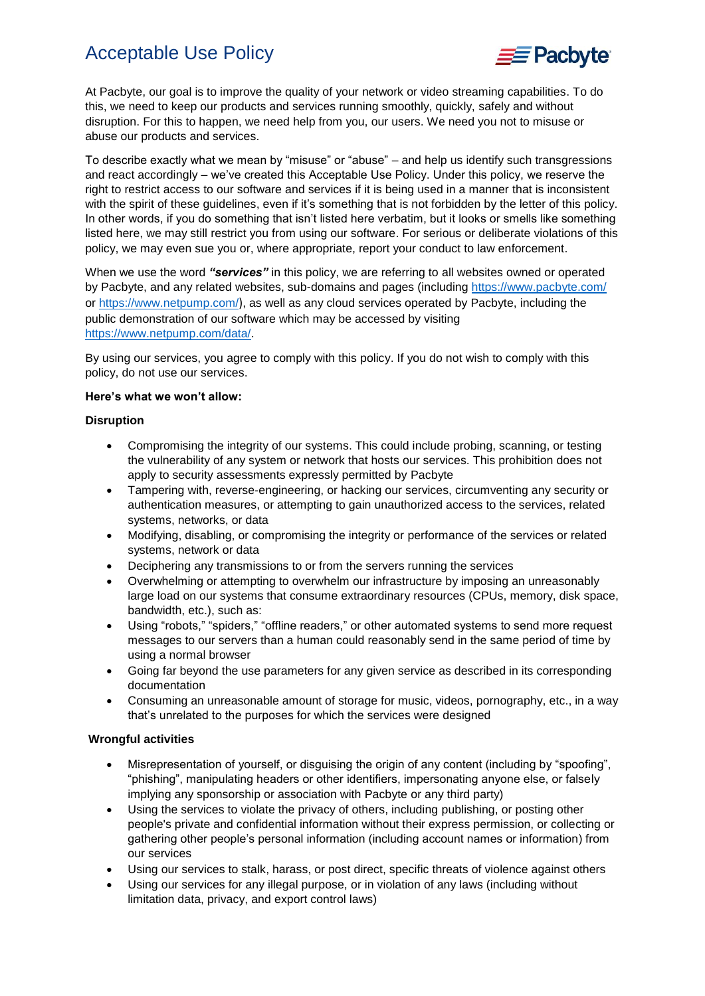## Acceptable Use Policy



At Pacbyte, our goal is to improve the quality of your network or video streaming capabilities. To do this, we need to keep our products and services running smoothly, quickly, safely and without disruption. For this to happen, we need help from you, our users. We need you not to misuse or abuse our products and services.

To describe exactly what we mean by "misuse" or "abuse" – and help us identify such transgressions and react accordingly – we've created this Acceptable Use Policy. Under this policy, we reserve the right to restrict access to our software and services if it is being used in a manner that is inconsistent with the spirit of these guidelines, even if it's something that is not forbidden by the letter of this policy. In other words, if you do something that isn't listed here verbatim, but it looks or smells like something listed here, we may still restrict you from using our software. For serious or deliberate violations of this policy, we may even sue you or, where appropriate, report your conduct to law enforcement.

When we use the word *"services"* in this policy, we are referring to all websites owned or operated by Pacbyte, and any related websites, sub-domains and pages (including<https://www.pacbyte.com/> or<https://www.netpump.com/>), as well as any cloud services operated by Pacbyte, including the public demonstration of our software which may be accessed by visiting [https://www.netpump.com/data/.](https://www.netpump.com/data/)

By using our services, you agree to comply with this policy. If you do not wish to comply with this policy, do not use our services.

#### **Here's what we won't allow:**

### **Disruption**

- Compromising the integrity of our systems. This could include probing, scanning, or testing the vulnerability of any system or network that hosts our services. This prohibition does not apply to security assessments expressly permitted by Pacbyte
- Tampering with, reverse-engineering, or hacking our services, circumventing any security or authentication measures, or attempting to gain unauthorized access to the services, related systems, networks, or data
- Modifying, disabling, or compromising the integrity or performance of the services or related systems, network or data
- Deciphering any transmissions to or from the servers running the services
- Overwhelming or attempting to overwhelm our infrastructure by imposing an unreasonably large load on our systems that consume extraordinary resources (CPUs, memory, disk space, bandwidth, etc.), such as:
- Using "robots," "spiders," "offline readers," or other automated systems to send more request messages to our servers than a human could reasonably send in the same period of time by using a normal browser
- Going far beyond the use parameters for any given service as described in its corresponding documentation
- Consuming an unreasonable amount of storage for music, videos, pornography, etc., in a way that's unrelated to the purposes for which the services were designed

## **Wrongful activities**

- Misrepresentation of yourself, or disguising the origin of any content (including by "spoofing", "phishing", manipulating headers or other identifiers, impersonating anyone else, or falsely implying any sponsorship or association with Pacbyte or any third party)
- Using the services to violate the privacy of others, including publishing, or posting other people's private and confidential information without their express permission, or collecting or gathering other people's personal information (including account names or information) from our services
- Using our services to stalk, harass, or post direct, specific threats of violence against others
- Using our services for any illegal purpose, or in violation of any laws (including without limitation data, privacy, and export control laws)